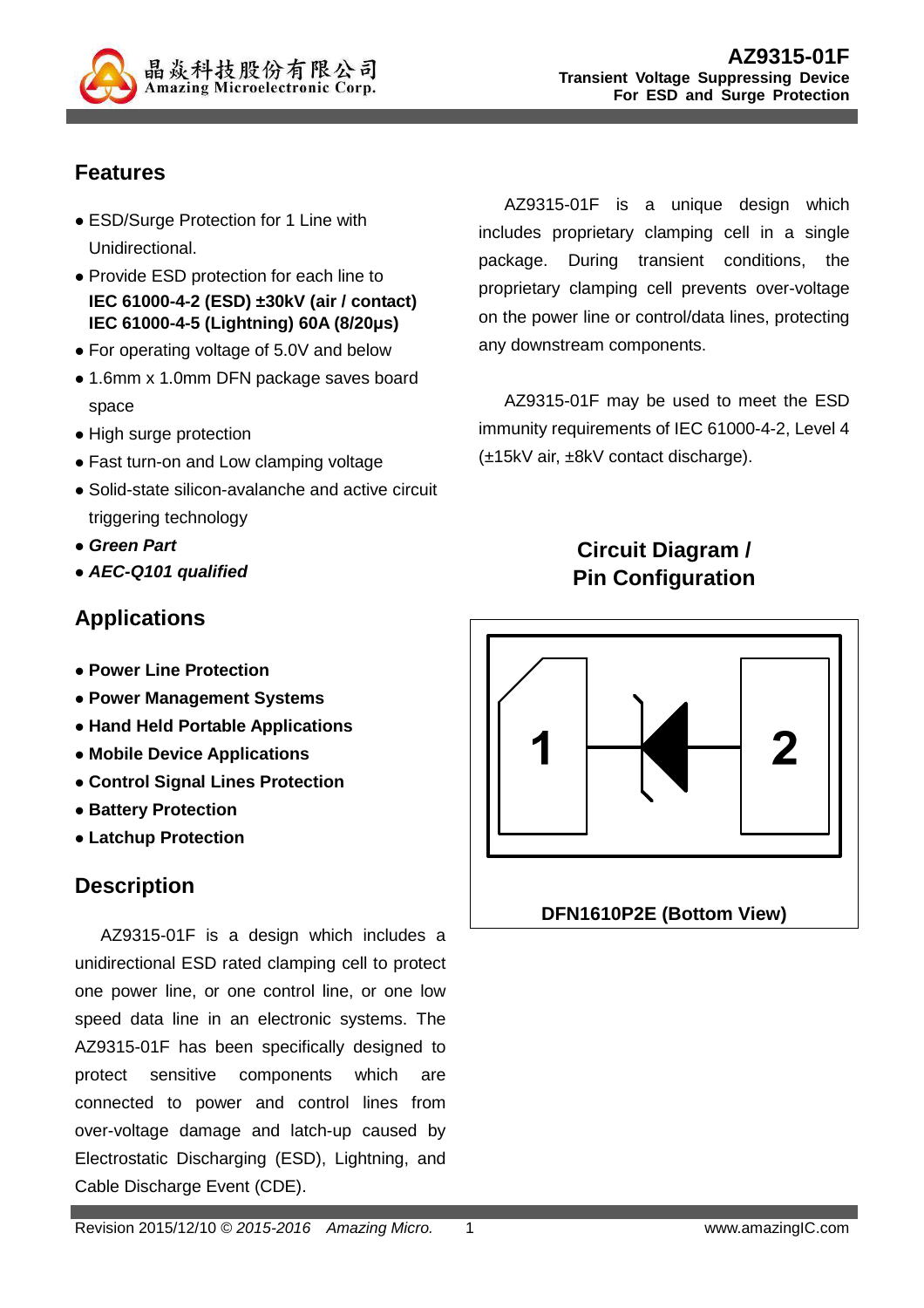

# **Features**

- ESD/Surge Protection for 1 Line with Unidirectional.
- Provide ESD protection for each line to **IEC 61000-4-2 (ESD) ±30kV (air / contact) IEC 61000-4-5 (Lightning) 60A (8/20µs)**
- For operating voltage of 5.0V and below
- 1.6mm x 1.0mm DFN package saves board space
- High surge protection
- Fast turn-on and Low clamping voltage
- Solid-state silicon-avalanche and active circuit triggering technology
- **Green Part**
- **AEC-Q101 qualified**

### **Applications**

- **Power Line Protection**
- **Power Management Systems**
- **Hand Held Portable Applications**
- **Mobile Device Applications**
- **Control Signal Lines Protection**
- **Battery Protection**
- **Latchup Protection**

# **Description**

AZ9315-01F is a design which includes a unidirectional ESD rated clamping cell to protect one power line, or one control line, or one low speed data line in an electronic systems. The AZ9315-01F has been specifically designed to protect sensitive components which are connected to power and control lines from over-voltage damage and latch-up caused by Electrostatic Discharging (ESD), Lightning, and Cable Discharge Event (CDE).

AZ9315-01F is a unique design which includes proprietary clamping cell in a single package. During transient conditions, the proprietary clamping cell prevents over-voltage on the power line or control/data lines, protecting any downstream components.

AZ9315-01F may be used to meet the ESD immunity requirements of IEC 61000-4-2, Level 4 (±15kV air, ±8kV contact discharge).

# **Circuit Diagram / Pin Configuration**

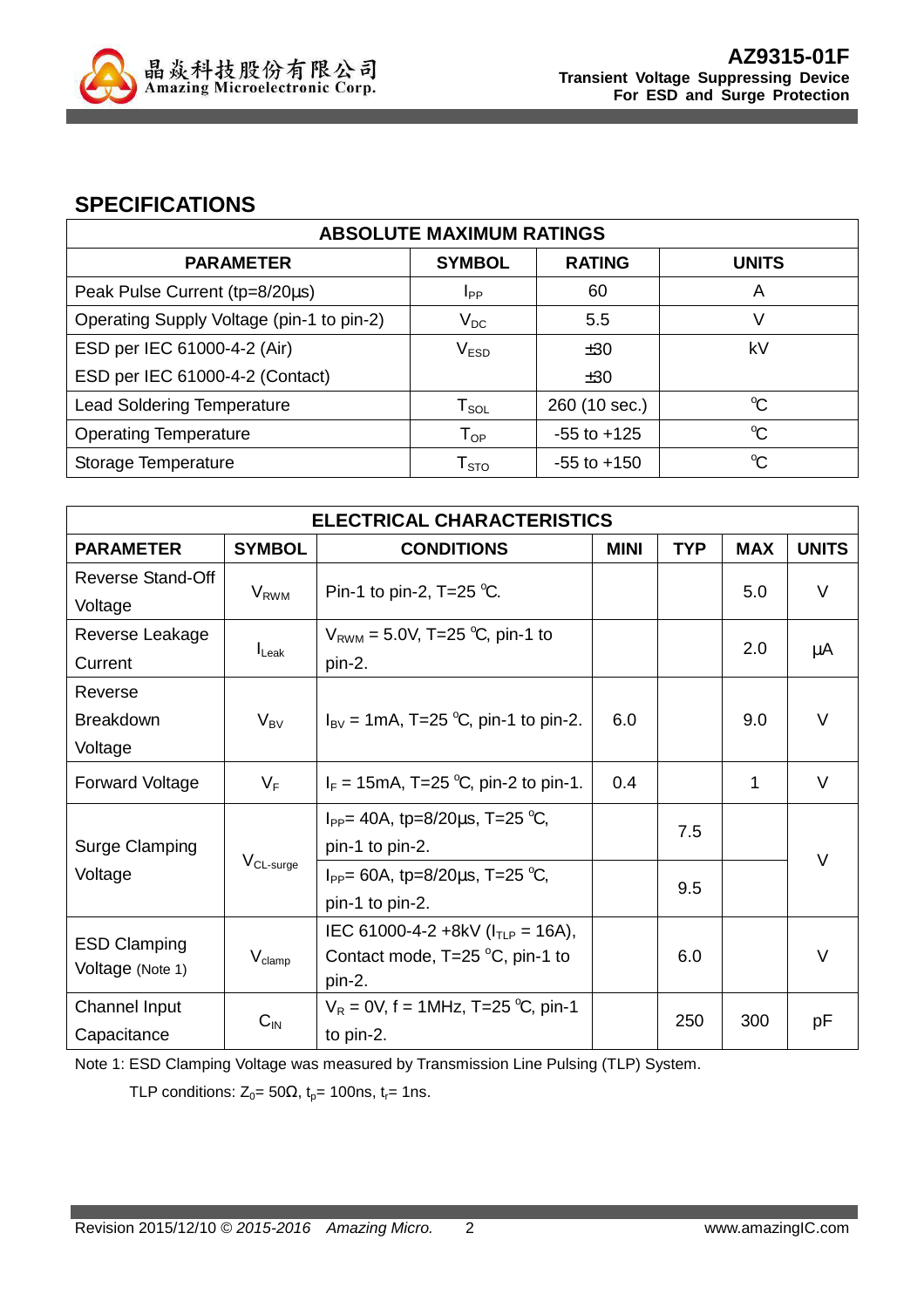

#### **SPECIFICATIONS**

| <b>ABSOLUTE MAXIMUM RATINGS</b>           |                        |                 |              |
|-------------------------------------------|------------------------|-----------------|--------------|
| <b>PARAMETER</b>                          | <b>SYMBOL</b>          | <b>RATING</b>   | <b>UNITS</b> |
| Peak Pulse Current (tp=8/20µs)            | Ipp                    | 60              | A            |
| Operating Supply Voltage (pin-1 to pin-2) | $V_{DC}$               | 5.5             | V            |
| ESD per IEC 61000-4-2 (Air)               | V <sub>ESD</sub>       | ±30             | kV           |
| ESD per IEC 61000-4-2 (Contact)           |                        | ±30             |              |
| <b>Lead Soldering Temperature</b>         | $T_{\texttt{SOL}}$     | 260 (10 sec.)   | $\mathrm{C}$ |
| <b>Operating Temperature</b>              | $T_{OP}$               | $-55$ to $+125$ | $\mathrm{C}$ |
| Storage Temperature                       | ${\sf T}_{\text{STO}}$ | $-55$ to $+150$ | $\mathrm{C}$ |

| <b>ELECTRICAL CHARACTERISTICS</b> |                    |                                                                          |             |            |            |              |  |
|-----------------------------------|--------------------|--------------------------------------------------------------------------|-------------|------------|------------|--------------|--|
| <b>PARAMETER</b>                  | <b>SYMBOL</b>      | <b>CONDITIONS</b>                                                        | <b>MINI</b> | <b>TYP</b> | <b>MAX</b> | <b>UNITS</b> |  |
| <b>Reverse Stand-Off</b>          |                    | Pin-1 to pin-2, T=25 $°C$ .                                              |             |            | 5.0        | $\vee$       |  |
| Voltage                           | $V_{RWM}$          |                                                                          |             |            |            |              |  |
| Reverse Leakage                   |                    | $V_{RWM} = 5.0V$ , T=25 °C, pin-1 to                                     |             |            | 2.0        | μA           |  |
| Current                           | $I_{\text{Leak}}$  | pin-2.                                                                   |             |            |            |              |  |
| Reverse                           |                    |                                                                          |             |            |            |              |  |
| <b>Breakdown</b>                  | $V_{BV}$           | $I_{\text{BV}} = 1 \text{mA}, T = 25 \text{ °C}, \text{pin-1 to pin-2}.$ | 6.0         |            | 9.0        | $\vee$       |  |
| Voltage                           |                    |                                                                          |             |            |            |              |  |
| <b>Forward Voltage</b>            | $V_F$              | $I_F = 15 \text{mA}, T = 25 \text{ °C}, \text{pin-2 to pin-1}.$          | 0.4         |            | 1          | V            |  |
|                                   |                    | $I_{PP}$ = 40A, tp=8/20 $\mu$ s, T=25 °C,                                |             | 7.5        |            |              |  |
| <b>Surge Clamping</b>             |                    | pin-1 to pin-2.                                                          |             |            |            | $\vee$       |  |
| Voltage                           | $V_{CL-surge}$     | $I_{PP}$ = 60A, tp=8/20 $\mu$ s, T=25 °C,                                |             | 9.5        |            |              |  |
|                                   |                    | pin-1 to pin-2.                                                          |             |            |            |              |  |
| <b>ESD Clamping</b>               |                    | IEC 61000-4-2 +8kV ( $I_{TLP}$ = 16A),                                   |             |            |            |              |  |
| Voltage (Note 1)                  | $V_{\text{clamp}}$ | Contact mode, $T=25\text{ °C}$ , pin-1 to                                |             | 6.0        |            | V            |  |
|                                   |                    | pin-2.                                                                   |             |            |            |              |  |
| Channel Input                     | $C_{\text{IN}}$    | $V_R = 0V$ , f = 1MHz, T=25 °C, pin-1<br>to pin-2.                       |             | 250        | 300        | рF           |  |
| Capacitance                       |                    |                                                                          |             |            |            |              |  |

Note 1: ESD Clamping Voltage was measured by Transmission Line Pulsing (TLP) System.

TLP conditions:  $Z_0 = 50\Omega$ ,  $t_p = 100$ ns,  $t_r = 1$ ns.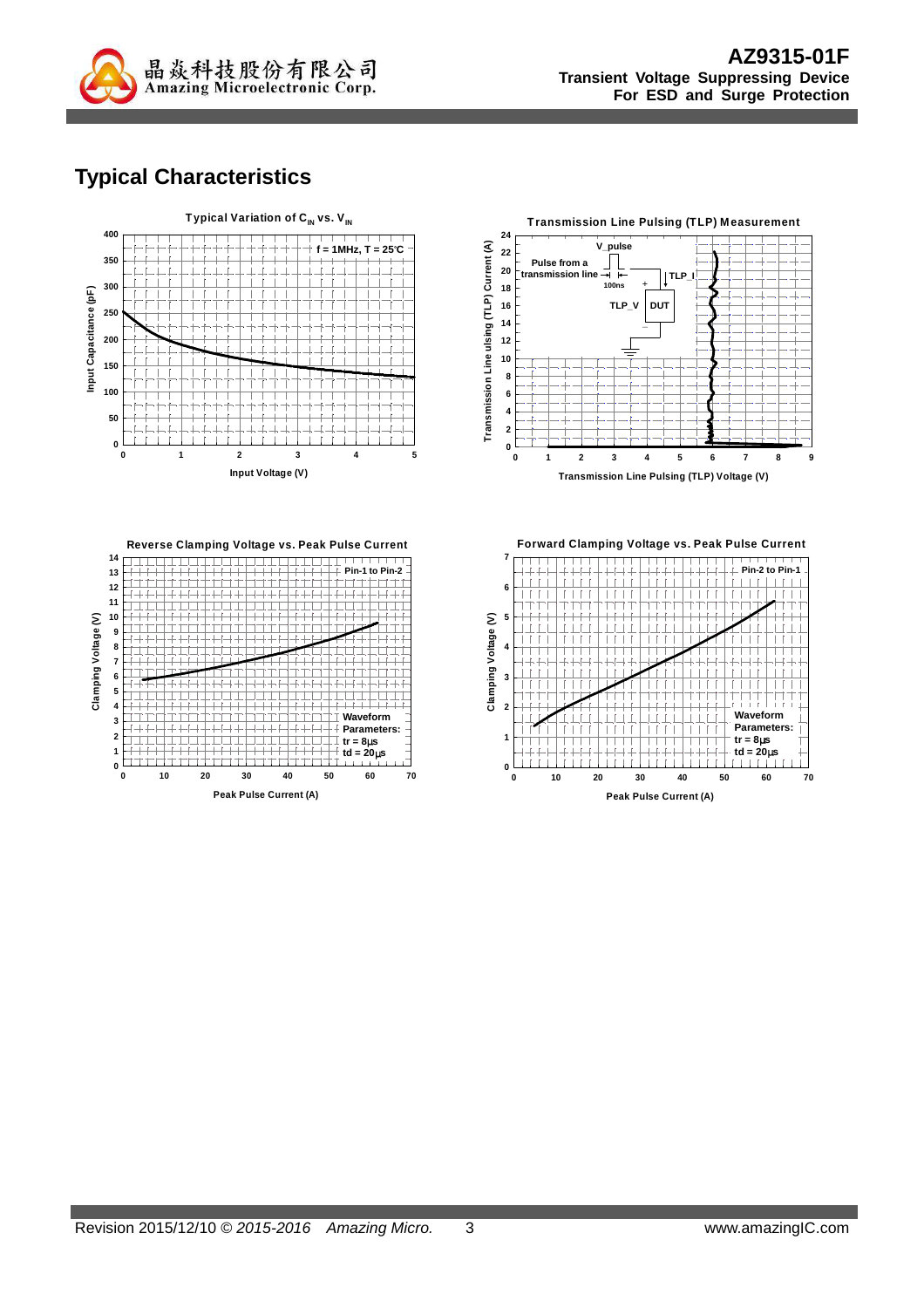

# **Typical Characteristics**





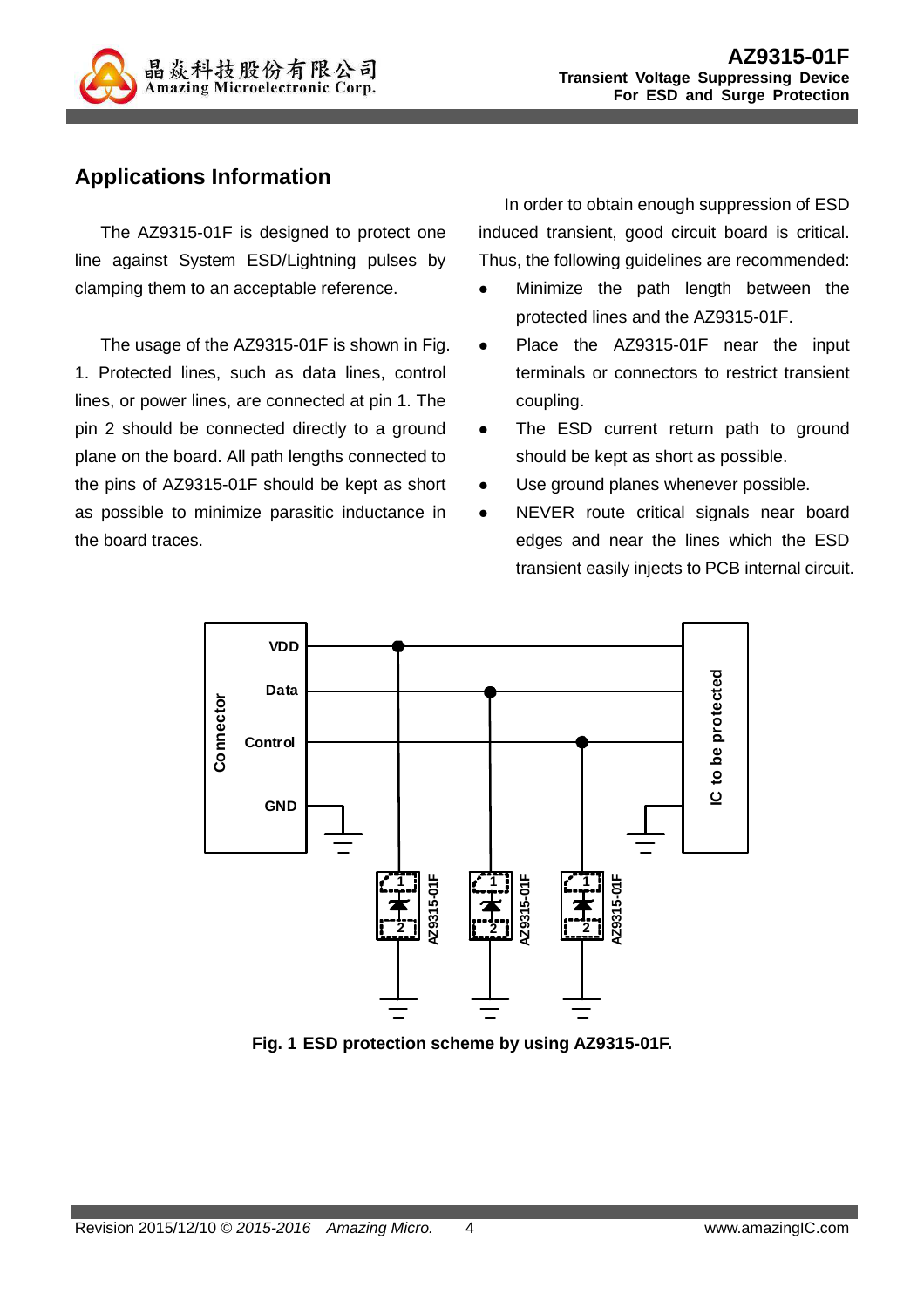

# **Applications Information**

The AZ9315-01F is designed to protect one line against System ESD/Lightning pulses by clamping them to an acceptable reference.

The usage of the AZ9315-01F is shown in Fig. 1. Protected lines, such as data lines, control lines, or power lines, are connected at pin 1. The pin 2 should be connected directly to a ground plane on the board. All path lengths connected to the pins of AZ9315-01F should be kept as short as possible to minimize parasitic inductance in the board traces.

In order to obtain enough suppression of ESD induced transient, good circuit board is critical. Thus, the following guidelines are recommended:

- Minimize the path length between the protected lines and the AZ9315-01F.
- Place the AZ9315-01F near the input terminals or connectors to restrict transient coupling.
- The ESD current return path to ground should be kept as short as possible.
- Use ground planes whenever possible.
- NEVER route critical signals near board edges and near the lines which the ESD transient easily injects to PCB internal circuit.



**Fig. 1 ESD protection scheme by using AZ9315-01F.**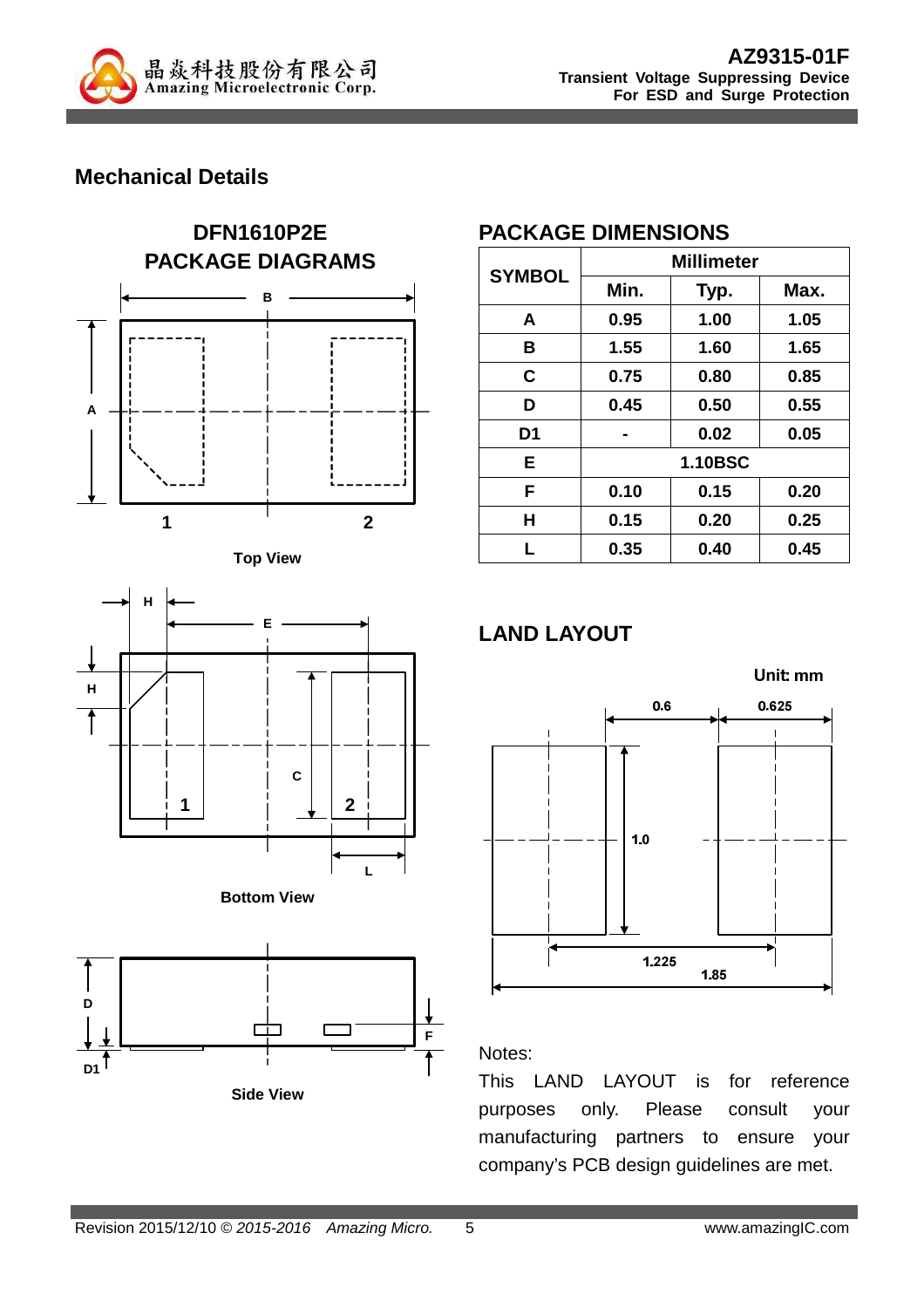

## **Mechanical Details**











**Side View**

#### **PACKAGE DIMENSIONS**

| <b>SYMBOL</b>  | <b>Millimeter</b> |      |      |  |
|----------------|-------------------|------|------|--|
|                | Min.              | Typ. | Max. |  |
| A              | 0.95              | 1.00 | 1.05 |  |
| в              | 1.55              | 1.60 | 1.65 |  |
| C              | 0.75              | 0.80 | 0.85 |  |
| D              | 0.45              | 0.50 | 0.55 |  |
| D <sub>1</sub> |                   | 0.02 | 0.05 |  |
| E              | <b>1.10BSC</b>    |      |      |  |
| F              | 0.10              | 0.15 | 0.20 |  |
| Н              | 0.15              | 0.20 | 0.25 |  |
| L              | 0.35              | 0.40 | 0.45 |  |

# **LAND LAYOUT**



#### Notes:

This LAND LAYOUT is for reference purposes only. Please consult your manufacturing partners to ensure your company's PCB design guidelines are met.